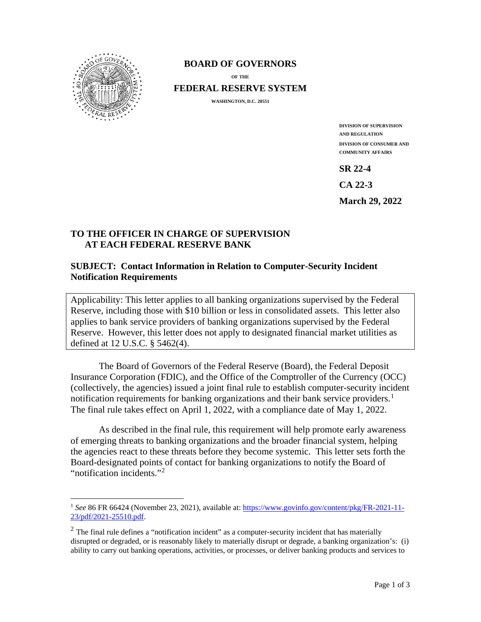

## **BOARD OF GOVERNORS**

**OF THE**

**FEDERAL RESERVE SYSTEM**

**WASHINGTON, D.C. 20551** 

**DIVISION OF SUPERVISION AND REGULATION DIVISION OF CONSUMER AND COMMUNITY AFFAIRS**

**SR 22-4** 

**CA 22-3** 

**March 29, 2022** 

## **TO THE OFFICER IN CHARGE OF SUPERVISION AT EACH FEDERAL RESERVE BANK**

## **SUBJECT: Contact Information in Relation to Computer-Security Incident Notification Requirements**

Applicability: This letter applies to all banking organizations supervised by the Federal Reserve, including those with \$10 billion or less in consolidated assets. This letter also applies to bank service providers of banking organizations supervised by the Federal Reserve. However, this letter does not apply to designated financial market utilities as defined at 12 U.S.C. § 5462(4).

The Board of Governors of the Federal Reserve (Board), the Federal Deposit Insurance Corporation (FDIC), and the Office of the Comptroller of the Currency (OCC) (collectively, the agencies) issued a joint final rule to establish computer-security incident notification requirements for banking organizations and their bank service providers.<sup>[1](#page-0-0)</sup> The final rule takes effect on April 1, 2022, with a compliance date of May 1, 2022.

As described in the final rule, this requirement will help promote early awareness of emerging threats to banking organizations and the broader financial system, helping the agencies react to these threats before they become systemic. This letter sets forth the Board-designated points of contact for banking organizations to notify the Board of "notification incidents."<sup>[2](#page-0-1)</sup>

<span id="page-0-0"></span><sup>1</sup> *See* 86 FR 66424 (November 23, 2021), available at: [https://www.govinfo.gov/content/pkg/FR-2021-11-](https://www.govinfo.gov/content/pkg/FR-2021-11-23/pdf/2021-25510.pdf) [23/pdf/2021-25510.pdf.](https://www.govinfo.gov/content/pkg/FR-2021-11-23/pdf/2021-25510.pdf)

<span id="page-0-1"></span> $2$  The final rule defines a "notification incident" as a computer-security incident that has materially disrupted or degraded, or is reasonably likely to materially disrupt or degrade, a banking organization's: (i) ability to carry out banking operations, activities, or processes, or deliver banking products and services to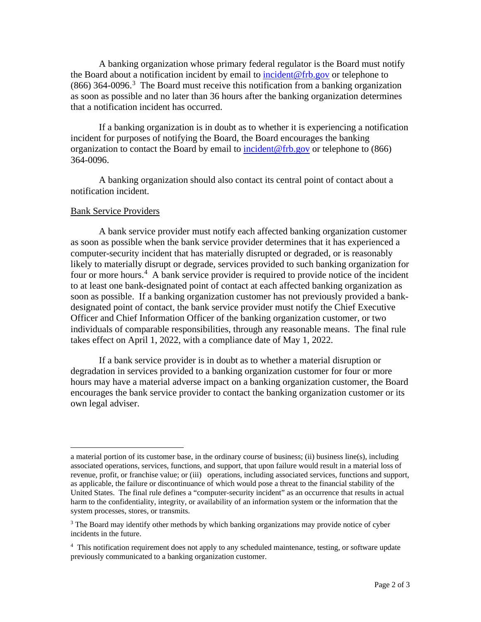A banking organization whose primary federal regulator is the Board must notify the Board about a notification incident by email to [incident@frb.gov](mailto:incident@frb.gov) or telephone to  $(866)$  [3](#page-1-0)64-0096.<sup>3</sup> The Board must receive this notification from a banking organization as soon as possible and no later than 36 hours after the banking organization determines that a notification incident has occurred.

 If a banking organization is in doubt as to whether it is experiencing a notification incident for purposes of notifying the Board, the Board encourages the banking organization to contact the Board by email to [incident@frb.gov](mailto:incident@frb.gov) or telephone to (866) 364-0096.

 A banking organization should also contact its central point of contact about a notification incident.

## Bank Service Providers

A bank service provider must notify each affected banking organization customer as soon as possible when the bank service provider determines that it has experienced a computer-security incident that has materially disrupted or degraded, or is reasonably likely to materially disrupt or degrade, services provided to such banking organization for four or more hours.<sup>[4](#page-1-1)</sup> A bank service provider is required to provide notice of the incident to at least one bank-designated point of contact at each affected banking organization as soon as possible. If a banking organization customer has not previously provided a bankdesignated point of contact, the bank service provider must notify the Chief Executive Officer and Chief Information Officer of the banking organization customer, or two individuals of comparable responsibilities, through any reasonable means. The final rule takes effect on April 1, 2022, with a compliance date of May 1, 2022.

If a bank service provider is in doubt as to whether a material disruption or degradation in services provided to a banking organization customer for four or more hours may have a material adverse impact on a banking organization customer, the Board encourages the bank service provider to contact the banking organization customer or its own legal adviser.

a material portion of its customer base, in the ordinary course of business; (ii) business line(s), including associated operations, services, functions, and support, that upon failure would result in a material loss of revenue, profit, or franchise value; or (iii) operations, including associated services, functions and support, as applicable, the failure or discontinuance of which would pose a threat to the financial stability of the United States. The final rule defines a "computer-security incident" as an occurrence that results in actual harm to the confidentiality, integrity, or availability of an information system or the information that the system processes, stores, or transmits.

<span id="page-1-0"></span><sup>&</sup>lt;sup>3</sup> The Board may identify other methods by which banking organizations may provide notice of cyber incidents in the future.

<span id="page-1-1"></span><sup>&</sup>lt;sup>4</sup> This notification requirement does not apply to any scheduled maintenance, testing, or software update previously communicated to a banking organization customer.